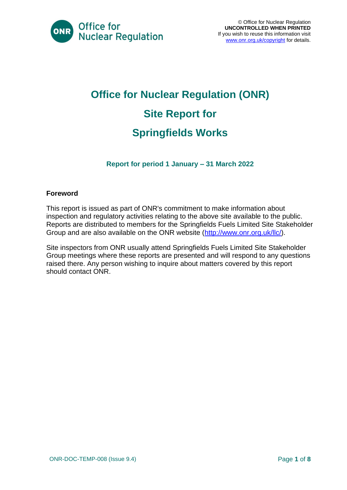

# **Office for Nuclear Regulation (ONR) Site Report for Springfields Works**

**Report for period 1 January – 31 March 2022**

#### **Foreword**

This report is issued as part of ONR's commitment to make information about inspection and regulatory activities relating to the above site available to the public. Reports are distributed to members for the Springfields Fuels Limited Site Stakeholder Group and are also available on the ONR website [\(http://www.onr.org.uk/llc/\)](http://www.onr.org.uk/llc/).

Site inspectors from ONR usually attend Springfields Fuels Limited Site Stakeholder Group meetings where these reports are presented and will respond to any questions raised there. Any person wishing to inquire about matters covered by this report should contact ONR.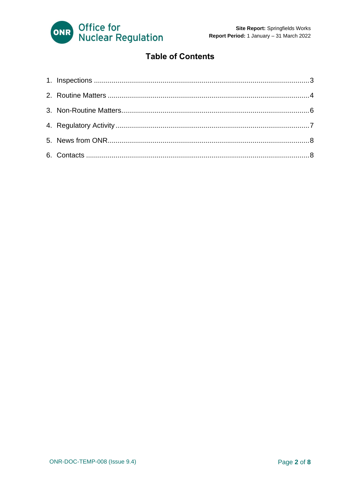

#### **Table of Contents**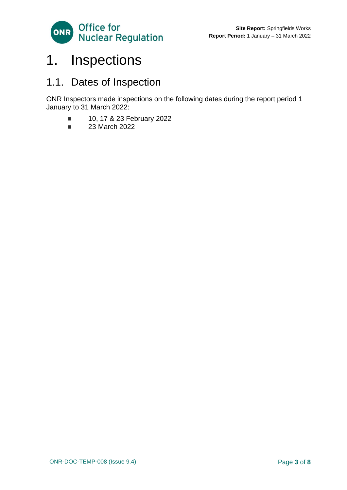

### <span id="page-2-0"></span>1. Inspections

### 1.1. Dates of Inspection

ONR Inspectors made inspections on the following dates during the report period 1 January to 31 March 2022:

- 10, 17 & 23 February 2022
- 23 March 2022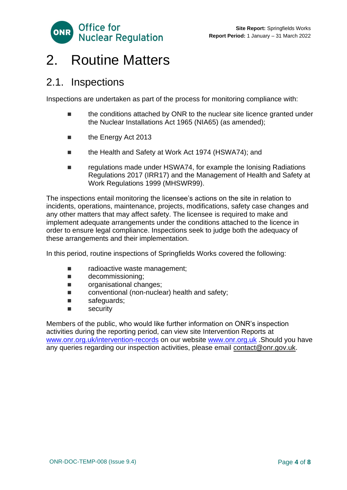

### <span id="page-3-0"></span>2. Routine Matters

#### 2.1. Inspections

Inspections are undertaken as part of the process for monitoring compliance with:

- the conditions attached by ONR to the nuclear site licence granted under the Nuclear Installations Act 1965 (NIA65) (as amended);
- the Energy Act 2013
- the Health and Safety at Work Act 1974 (HSWA74); and
- regulations made under HSWA74, for example the Ionising Radiations Regulations 2017 (IRR17) and the Management of Health and Safety at Work Regulations 1999 (MHSWR99).

The inspections entail monitoring the licensee's actions on the site in relation to incidents, operations, maintenance, projects, modifications, safety case changes and any other matters that may affect safety. The licensee is required to make and implement adequate arrangements under the conditions attached to the licence in order to ensure legal compliance. Inspections seek to judge both the adequacy of these arrangements and their implementation.

In this period, routine inspections of Springfields Works covered the following:

- radioactive waste management;
- decommissioning;
- organisational changes;
- conventional (non-nuclear) health and safety;
- safeguards;
- security

Members of the public, who would like further information on ONR's inspection activities during the reporting period, can view site Intervention Reports at [www.onr.org.uk/intervention-records](http://www.onr.org.uk./intervention-records) on our website [www.onr.org.uk](http://www.onr.org.uk/) .Should you have any queries regarding our inspection activities, please email [contact@onr.gov.uk.](mailto:contact@onr.gov.uk)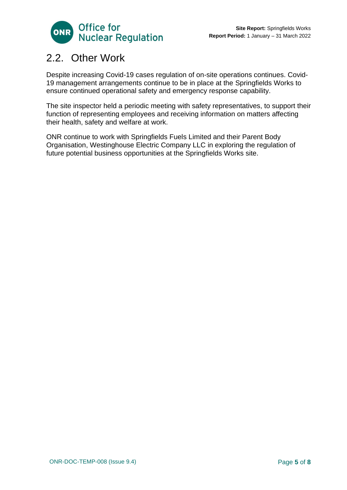

### 2.2. Other Work

Despite increasing Covid-19 cases regulation of on-site operations continues. Covid-19 management arrangements continue to be in place at the Springfields Works to ensure continued operational safety and emergency response capability.

The site inspector held a periodic meeting with safety representatives, to support their function of representing employees and receiving information on matters affecting their health, safety and welfare at work.

ONR continue to work with Springfields Fuels Limited and their Parent Body Organisation, Westinghouse Electric Company LLC in exploring the regulation of future potential business opportunities at the Springfields Works site.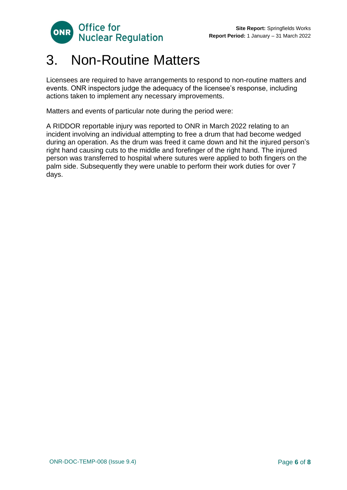

### <span id="page-5-0"></span>3. Non-Routine Matters

Licensees are required to have arrangements to respond to non-routine matters and events. ONR inspectors judge the adequacy of the licensee's response, including actions taken to implement any necessary improvements.

Matters and events of particular note during the period were:

A RIDDOR reportable injury was reported to ONR in March 2022 relating to an incident involving an individual attempting to free a drum that had become wedged during an operation. As the drum was freed it came down and hit the injured person's right hand causing cuts to the middle and forefinger of the right hand. The injured person was transferred to hospital where sutures were applied to both fingers on the palm side. Subsequently they were unable to perform their work duties for over 7 days.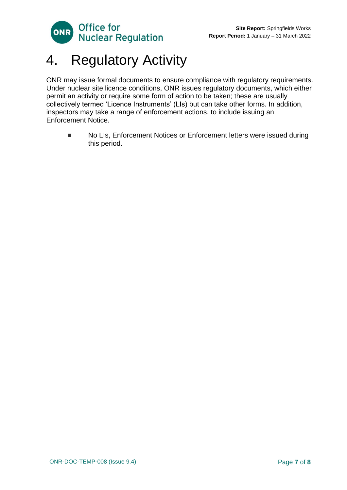

## <span id="page-6-0"></span>4. Regulatory Activity

ONR may issue formal documents to ensure compliance with regulatory requirements. Under nuclear site licence conditions, ONR issues regulatory documents, which either permit an activity or require some form of action to be taken; these are usually collectively termed 'Licence Instruments' (LIs) but can take other forms. In addition, inspectors may take a range of enforcement actions, to include issuing an Enforcement Notice.

■ No LIs, Enforcement Notices or Enforcement letters were issued during this period.